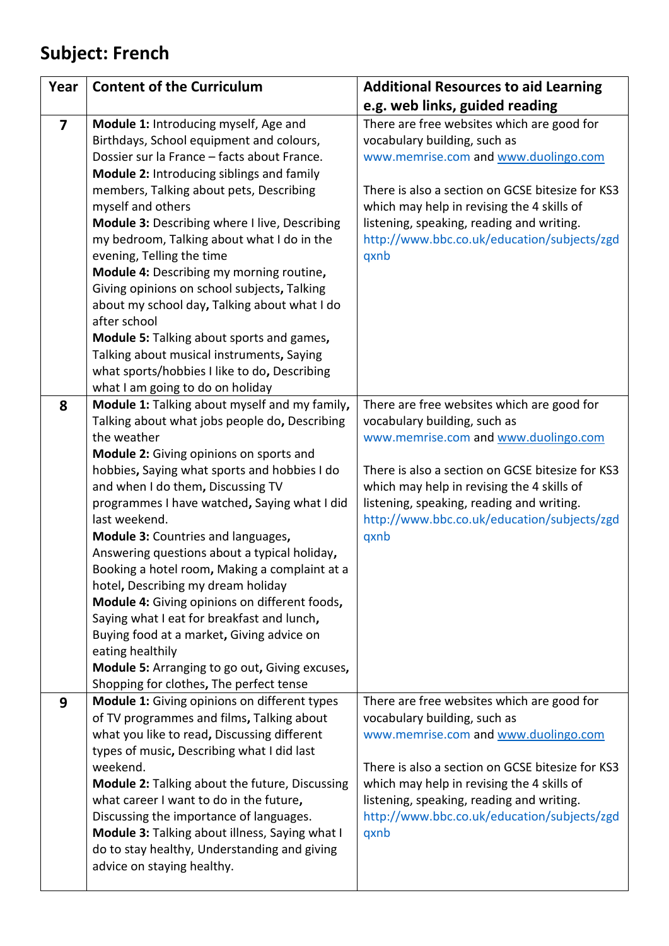## **Subject: French**

| Year           | <b>Content of the Curriculum</b>                      | <b>Additional Resources to aid Learning</b>      |
|----------------|-------------------------------------------------------|--------------------------------------------------|
|                |                                                       | e.g. web links, guided reading                   |
| $\overline{7}$ | Module 1: Introducing myself, Age and                 | There are free websites which are good for       |
|                | Birthdays, School equipment and colours,              | vocabulary building, such as                     |
|                | Dossier sur la France - facts about France.           | www.memrise.com and www.duolingo.com             |
|                | <b>Module 2: Introducing siblings and family</b>      |                                                  |
|                | members, Talking about pets, Describing               | There is also a section on GCSE bitesize for KS3 |
|                | myself and others                                     | which may help in revising the 4 skills of       |
|                | Module 3: Describing where I live, Describing         | listening, speaking, reading and writing.        |
|                | my bedroom, Talking about what I do in the            | http://www.bbc.co.uk/education/subjects/zgd      |
|                | evening, Telling the time                             | qxnb                                             |
|                | Module 4: Describing my morning routine,              |                                                  |
|                | Giving opinions on school subjects, Talking           |                                                  |
|                | about my school day, Talking about what I do          |                                                  |
|                | after school                                          |                                                  |
|                | <b>Module 5: Talking about sports and games,</b>      |                                                  |
|                | Talking about musical instruments, Saying             |                                                  |
|                | what sports/hobbies I like to do, Describing          |                                                  |
|                | what I am going to do on holiday                      |                                                  |
| 8              | Module 1: Talking about myself and my family,         | There are free websites which are good for       |
|                | Talking about what jobs people do, Describing         | vocabulary building, such as                     |
|                | the weather                                           | www.memrise.com and www.duolingo.com             |
|                | Module 2: Giving opinions on sports and               |                                                  |
|                | hobbies, Saying what sports and hobbies I do          | There is also a section on GCSE bitesize for KS3 |
|                | and when I do them, Discussing TV                     | which may help in revising the 4 skills of       |
|                | programmes I have watched, Saying what I did          | listening, speaking, reading and writing.        |
|                | last weekend.                                         | http://www.bbc.co.uk/education/subjects/zgd      |
|                | Module 3: Countries and languages,                    | qxnb                                             |
|                | Answering questions about a typical holiday,          |                                                  |
|                | Booking a hotel room, Making a complaint at a         |                                                  |
|                | hotel, Describing my dream holiday                    |                                                  |
|                | Module 4: Giving opinions on different foods,         |                                                  |
|                | Saying what I eat for breakfast and lunch,            |                                                  |
|                | Buying food at a market, Giving advice on             |                                                  |
|                | eating healthily                                      |                                                  |
|                | Module 5: Arranging to go out, Giving excuses,        |                                                  |
|                | Shopping for clothes, The perfect tense               |                                                  |
| 9              | Module 1: Giving opinions on different types          | There are free websites which are good for       |
|                | of TV programmes and films, Talking about             | vocabulary building, such as                     |
|                | what you like to read, Discussing different           | www.memrise.com and www.duolingo.com             |
|                | types of music, Describing what I did last            |                                                  |
|                | weekend.                                              | There is also a section on GCSE bitesize for KS3 |
|                | <b>Module 2: Talking about the future, Discussing</b> | which may help in revising the 4 skills of       |
|                | what career I want to do in the future,               | listening, speaking, reading and writing.        |
|                | Discussing the importance of languages.               | http://www.bbc.co.uk/education/subjects/zgd      |
|                | Module 3: Talking about illness, Saying what I        | qxnb                                             |
|                | do to stay healthy, Understanding and giving          |                                                  |
|                | advice on staying healthy.                            |                                                  |
|                |                                                       |                                                  |